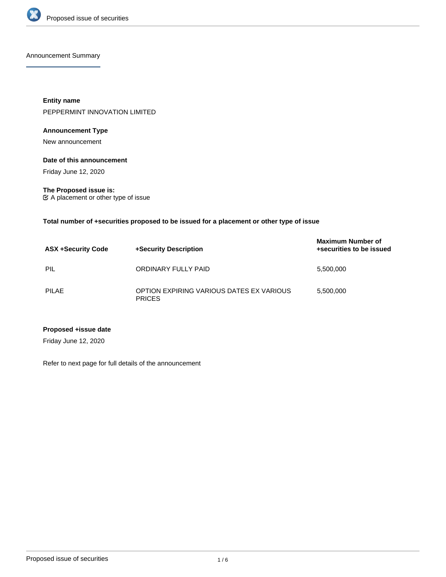

Announcement Summary

**Entity name** PEPPERMINT INNOVATION LIMITED

## **Announcement Type**

New announcement

#### **Date of this announcement**

Friday June 12, 2020

**The Proposed issue is:** A placement or other type of issue

**Total number of +securities proposed to be issued for a placement or other type of issue**

| <b>ASX +Security Code</b> | +Security Description                                     | <b>Maximum Number of</b><br>+securities to be issued |
|---------------------------|-----------------------------------------------------------|------------------------------------------------------|
| PIL                       | ORDINARY FULLY PAID                                       | 5,500,000                                            |
| PILAE                     | OPTION EXPIRING VARIOUS DATES EX VARIOUS<br><b>PRICES</b> | 5,500,000                                            |

#### **Proposed +issue date**

Friday June 12, 2020

Refer to next page for full details of the announcement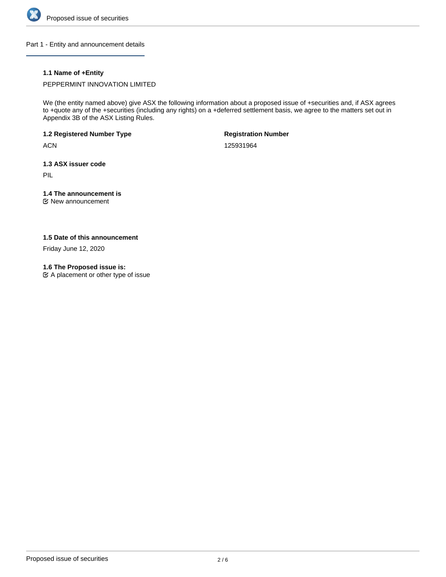

Part 1 - Entity and announcement details

# **1.1 Name of +Entity**

PEPPERMINT INNOVATION LIMITED

We (the entity named above) give ASX the following information about a proposed issue of +securities and, if ASX agrees to +quote any of the +securities (including any rights) on a +deferred settlement basis, we agree to the matters set out in Appendix 3B of the ASX Listing Rules.

**1.2 Registered Number Type**

**ACN** 

**Registration Number**

125931964

**1.3 ASX issuer code**

PIL

# **1.4 The announcement is**

New announcement

# **1.5 Date of this announcement**

Friday June 12, 2020

#### **1.6 The Proposed issue is:**

A placement or other type of issue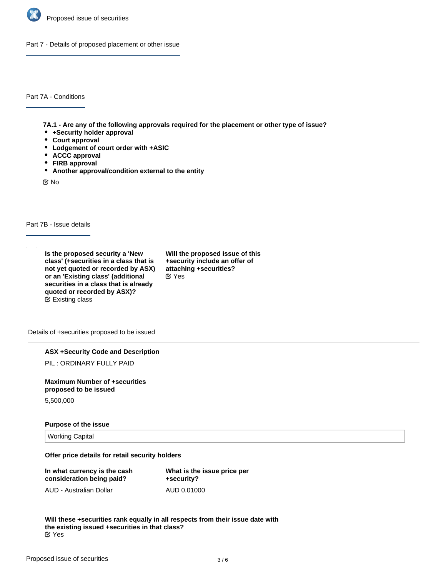

Part 7 - Details of proposed placement or other issue

Part 7A - Conditions

**7A.1 - Are any of the following approvals required for the placement or other type of issue?**

- **+Security holder approval**
- **Court approval**
- **Lodgement of court order with +ASIC**
- **ACCC approval**
- **FIRB approval**
- **Another approval/condition external to the entity**

No

Part 7B - Issue details

**Is the proposed security a 'New class' (+securities in a class that is not yet quoted or recorded by ASX) or an 'Existing class' (additional securities in a class that is already quoted or recorded by ASX)?** Existing class

**Will the proposed issue of this +security include an offer of attaching +securities?** Yes

Details of +securities proposed to be issued

**ASX +Security Code and Description**

PIL : ORDINARY FULLY PAID

**Maximum Number of +securities proposed to be issued**

5,500,000

#### **Purpose of the issue**

Working Capital

**Offer price details for retail security holders**

| In what currency is the cash | What is the issue price per |
|------------------------------|-----------------------------|
| consideration being paid?    | +security?                  |
| AUD - Australian Dollar      | AUD 0.01000                 |

**Will these +securities rank equally in all respects from their issue date with the existing issued +securities in that class?** Yes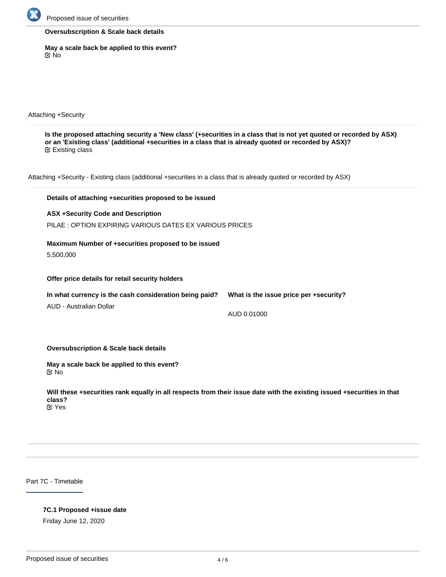

#### **Oversubscription & Scale back details**

**May a scale back be applied to this event?** No

Attaching +Security

**Is the proposed attaching security a 'New class' (+securities in a class that is not yet quoted or recorded by ASX) or an 'Existing class' (additional +securities in a class that is already quoted or recorded by ASX)?** Existing class

Attaching +Security - Existing class (additional +securities in a class that is already quoted or recorded by ASX)

# **Details of attaching +securities proposed to be issued ASX +Security Code and Description** PILAE : OPTION EXPIRING VARIOUS DATES EX VARIOUS PRICES **Maximum Number of +securities proposed to be issued** 5,500,000 **Offer price details for retail security holders In what currency is the cash consideration being paid?** AUD - Australian Dollar **What is the issue price per +security?** AUD 0.01000

**Oversubscription & Scale back details**

**May a scale back be applied to this event?** No

**Will these +securities rank equally in all respects from their issue date with the existing issued +securities in that class?**

Yes

Part 7C - Timetable

## **7C.1 Proposed +issue date**

Friday June 12, 2020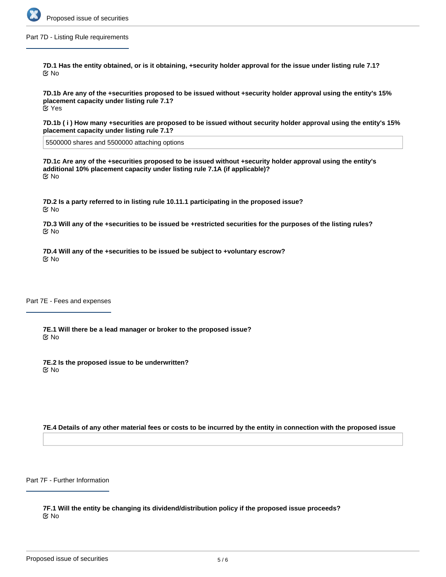

Part 7D - Listing Rule requirements

**7D.1 Has the entity obtained, or is it obtaining, +security holder approval for the issue under listing rule 7.1?** No

**7D.1b Are any of the +securities proposed to be issued without +security holder approval using the entity's 15% placement capacity under listing rule 7.1?** Yes

**7D.1b ( i ) How many +securities are proposed to be issued without security holder approval using the entity's 15% placement capacity under listing rule 7.1?**

5500000 shares and 5500000 attaching options

**7D.1c Are any of the +securities proposed to be issued without +security holder approval using the entity's additional 10% placement capacity under listing rule 7.1A (if applicable)?** No

**7D.2 Is a party referred to in listing rule 10.11.1 participating in the proposed issue?** No

**7D.3 Will any of the +securities to be issued be +restricted securities for the purposes of the listing rules?** No

**7D.4 Will any of the +securities to be issued be subject to +voluntary escrow?** No

Part 7E - Fees and expenses

**7E.1 Will there be a lead manager or broker to the proposed issue?** No

**7E.2 Is the proposed issue to be underwritten?** No

**7E.4 Details of any other material fees or costs to be incurred by the entity in connection with the proposed issue**

Part 7F - Further Information

**7F.1 Will the entity be changing its dividend/distribution policy if the proposed issue proceeds?** No